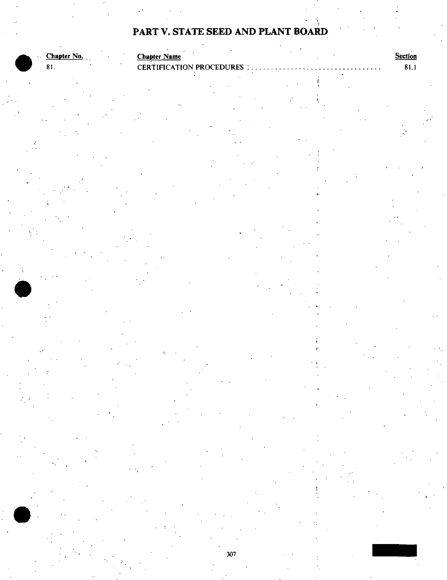# PART V. STATE SEED AND PLANT BOARD



**Chapter No.**<br>81.

## **CERTIFICATION PROCEDURES**

**Section** 

 $81.1$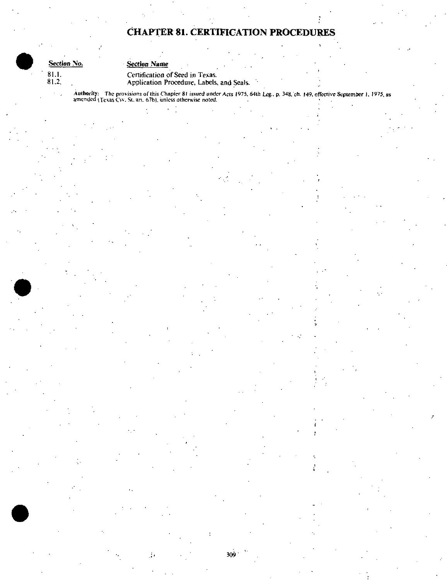# CHAPTER 81. CERTIFICATION PROCEDURES

Section No. Section Name

81.1. Certification of Seed in Texas. 81.2, Application Procedure, Labels, and Seals.

Authority: The provisions of this Chapter 81 issued under Acts 1975, 64th Leg., p. 348, ch. 149, effective September 1, 1975, as amended (Texas Civ. St. art. 67b), unless otherwise noted.

309

 $\mathcal{A}$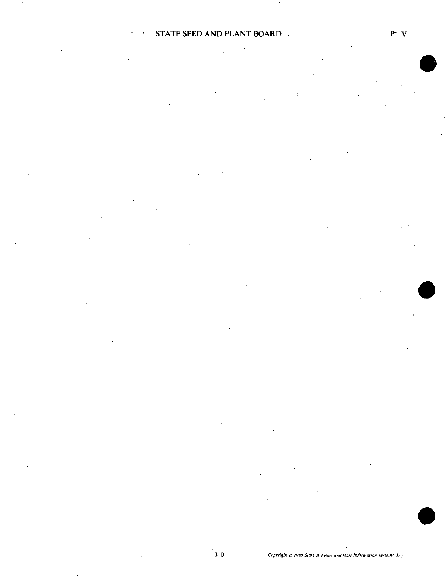Pt. V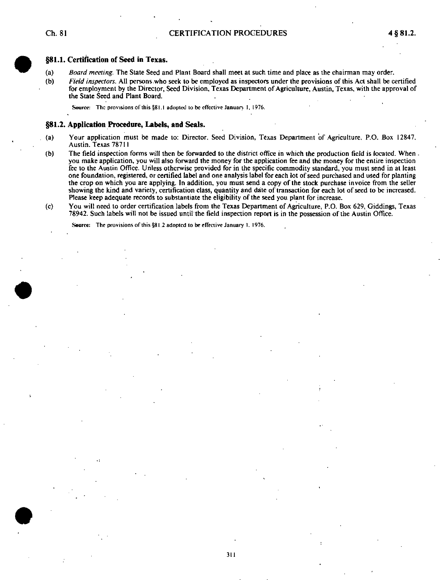### Ch. 81 CERTIFICATION PROCEDURES 4 § 81.2.

### §81.1. Certification of Seed in Texas.

- (a) Board meeting. The State Seed and Plant Board shall meet at such time and place as the chairman may order.
- (b) Field inspectors. All persons who seek to be employed as inspectors under the provisions of this Act shall be certified for employment by the Director, Seed Division, Texas Department of Agriculture, Austin, Texas, with the approval of the State Seed and Plant Board.

Source: The provisions of this §81.1 adopted to be effective January 1, 1976.

#### §81.2. Application Procedure, Labels, and Seals.

- (a) Your application must be made to: Director. Seed Division, Texas Department of Agriculture, P.O. Box 12847. Austin. Texas 78711
- (b) The field inspection forms will then be forwarded to the district office in which the production field is located. When . you make application, you will also forward the money for the application fee and the money for the entire inspection fee to the Austin Office. Unless otherwise provided for in the specific commodity standard, you must send in at least one foundation, registered, or certified label and one analysis label for each lot of seed purchased and used for planting the crop on which you are applying. In addition, you must send a copy ofthe stock purchase invoice from the seller showing the kind and variety, certification class, quantity and date of transaction for each lot of seed to be increased. Please keep adequate records to substantiate the eligibility of the seed you plant for increase.
- (c) You will need to order certification labels from the Texas Department of Agriculture, P.O. Box 629, Giddings, Texas 78942. Such labels will not be issued until the field inspection report is in the possession ofthe Austin Office.

Source: The provisions of this \$81.2 adopted to be effective January 1. 1976.